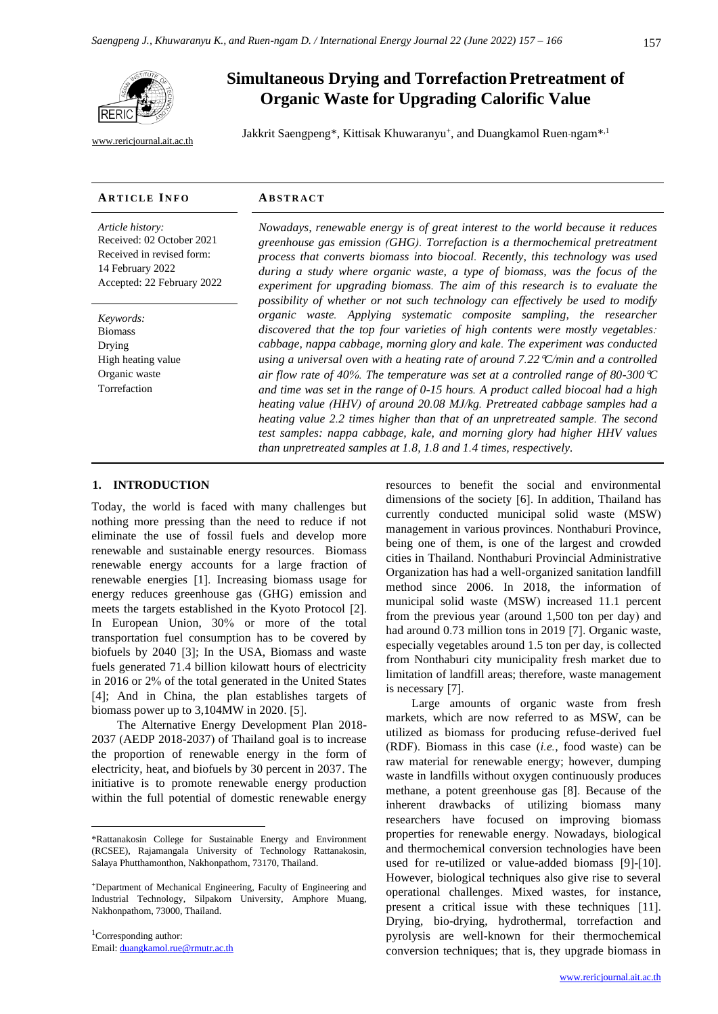[www.rericjournal.ait.ac.th](file:///C:/Reric-Data/JOURNAL/Accepted%20Paper/Users/RERIC/Vol.11%20No.2/Formatted/For%20Print/www.rericjournal.ait.ac.th)

# **Simultaneous Drying and Torrefaction Pretreatment of Organic Waste for Upgrading Calorific Value**

Jakkrit Saengpeng\*, Kittisak Khuwaranyu<sup>+</sup>, and Duangkamol Ruen-ngam<sup>\*, 1</sup>

#### **AR T I C L E I N F O AB S T R A C T**

*Article history:* Received: 02 October 2021 Received in revised form: 14 February 2022 Accepted: 22 February 2022

*Keywords:* Biomass Drying High heating value Organic waste Torrefaction

*Nowadays, renewable energy is of great interest to the world because it reduces greenhouse gas emission (GHG). Torrefaction is a thermochemical pretreatment process that converts biomass into biocoal. Recently, this technology was used*  during a study where organic waste, a type of biomass, was the focus of the *experiment for upgrading biomass. The aim of this research is to evaluate the possibility of whether or not such technology can effectively be used to modify organic waste. Applying systematic composite sampling, the researcher discovered that the top four varieties of high contents were mostly vegetables: cabbage, nappa cabbage, morning glory and kale. The experiment was conducted using a universal oven with a heating rate of around 7.22C/min and a controlled air flow rate of 40%. The temperature was set at a controlled range of 80-300C and time was set in the range of 0-15 hours. A product called biocoal had a high heating value (HHV) of around 20.08 MJ/kg. Pretreated cabbage samples had a heating value 2.2 times higher than that of an unpretreated sample. The second test samples: nappa cabbage, kale, and morning glory had higher HHV values than unpretreated samples at 1.8, 1.8 and 1.4 times, respectively.*

## 1. **INTRODUCTION**

Today, the world is faced with many challenges but nothing more pressing than the need to reduce if not eliminate the use of fossil fuels and develop more renewable and sustainable energy resources. Biomass renewable energy accounts for a large fraction of renewable energies [1]. Increasing biomass usage for energy reduces greenhouse gas (GHG) emission and meets the targets established in the Kyoto Protocol [2]. In European Union, 30% or more of the total transportation fuel consumption has to be covered by biofuels by 2040 [3]; In the USA, Biomass and waste fuels generated 71.4 billion kilowatt hours of electricity in 2016 or 2% of the total generated in the United States [4]; And in China, the plan establishes targets of biomass power up to 3,104MW in 2020. [5].

The Alternative Energy Development Plan 2018- 2037 (AEDP 2018-2037) of Thailand goal is to increase the proportion of renewable energy in the form of electricity, heat, and biofuels by 30 percent in 2037. The initiative is to promote renewable energy production within the full potential of domestic renewable energy

<sup>1</sup>Corresponding author: Email: [duangkamol.rue@rmutr.ac.th](mailto:duangkamol.rue@rmutr.ac.th) resources to benefit the social and environmental dimensions of the society [6]. In addition, Thailand has currently conducted municipal solid waste (MSW) management in various provinces. Nonthaburi Province, being one of them, is one of the largest and crowded cities in Thailand. Nonthaburi Provincial Administrative Organization has had a well-organized sanitation landfill method since 2006. In 2018, the information of municipal solid waste (MSW) increased 11.1 percent from the previous year (around 1,500 ton per day) and had around 0.73 million tons in 2019 [7]. Organic waste, especially vegetables around 1.5 ton per day, is collected from Nonthaburi city municipality fresh market due to limitation of landfill areas; therefore, waste management is necessary [7].

Large amounts of organic waste from fresh markets, which are now referred to as MSW, can be utilized as biomass for producing refuse-derived fuel (RDF). Biomass in this case (*i.e.*, food waste) can be raw material for renewable energy; however, dumping waste in landfills without oxygen continuously produces methane, a potent greenhouse gas [8]. Because of the inherent drawbacks of utilizing biomass many researchers have focused on improving biomass properties for renewable energy. Nowadays, biological and thermochemical conversion technologies have been used for re-utilized or value-added biomass [9]-[10]. However, biological techniques also give rise to several operational challenges. Mixed wastes, for instance, present a critical issue with these techniques [11]. Drying, bio-drying, hydrothermal, torrefaction and pyrolysis are well-known for their thermochemical conversion techniques; that is, they upgrade biomass in

<sup>\*</sup>Rattanakosin College for Sustainable Energy and Environment (RCSEE), Rajamangala University of Technology Rattanakosin, Salaya Phutthamonthon, Nakhonpathom, 73170, Thailand.

<sup>+</sup>Department of Mechanical Engineering, Faculty of Engineering and Industrial Technology, Silpakorn University, Amphore Muang, Nakhonpathom, 73000, Thailand.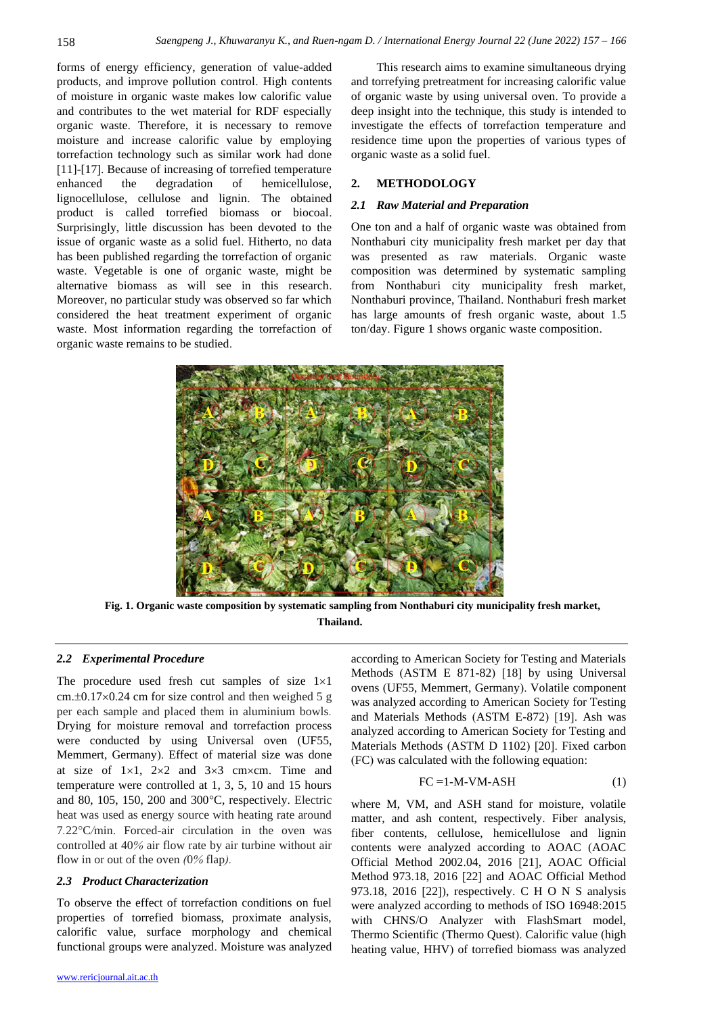forms of energy efficiency, generation of value-added products, and improve pollution control. High contents of moisture in organic waste makes low calorific value and contributes to the wet material for RDF especially organic waste. Therefore, it is necessary to remove moisture and increase calorific value by employing torrefaction technology such as similar work had done [11]-[17]. Because of increasing of torrefied temperature enhanced the degradation of hemicellulose, lignocellulose, cellulose and lignin. The obtained product is called torrefied biomass or biocoal. Surprisingly, little discussion has been devoted to the issue of organic waste as a solid fuel. Hitherto, no data has been published regarding the torrefaction of organic waste. Vegetable is one of organic waste, might be alternative biomass as will see in this research. Moreover, no particular study was observed so far which considered the heat treatment experiment of organic waste. Most information regarding the torrefaction of organic waste remains to be studied.

This research aims to examine simultaneous drying and torrefying pretreatment for increasing calorific value of organic waste by using universal oven. To provide a deep insight into the technique, this study is intended to investigate the effects of torrefaction temperature and residence time upon the properties of various types of organic waste as a solid fuel.

# **2. METHODOLOGY**

#### *2.1 Raw Material and Preparation*

One ton and a half of organic waste was obtained from Nonthaburi city municipality fresh market per day that was presented as raw materials. Organic waste composition was determined by systematic sampling from Nonthaburi city municipality fresh market, Nonthaburi province, Thailand. Nonthaburi fresh market has large amounts of fresh organic waste, about 1.5 ton/day. Figure 1 shows organic waste composition.



**Fig. 1. Organic waste composition by systematic sampling from Nonthaburi city municipality fresh market, Thailand.**

# *2.2 Experimental Procedure*

The procedure used fresh cut samples of size  $1\times1$ cm. $\pm$ 0.17 $\times$ 0.24 cm for size control and then weighed 5 g per each sample and placed them in aluminium bowls*.*  Drying for moisture removal and torrefaction process were conducted by using Universal oven (UF55, Memmert, Germany). Effect of material size was done at size of  $1\times1$ ,  $2\times2$  and  $3\times3$  cm $\times$ cm. Time and temperature were controlled at 1, 3, 5, 10 and 15 hours and 80, 105, 150, 200 and  $300^{\circ}$ C, respectively. Electric heat was used as energy source with heating rate around 7*.*22C*/*min. Forced*-*air circulation in the oven was controlled at 40*%* air flow rate by air turbine without air flow in or out of the oven *(*0*%* flap*).*

#### *2.3 Product Characterization*

To observe the effect of torrefaction conditions on fuel properties of torrefied biomass, proximate analysis, calorific value, surface morphology and chemical functional groups were analyzed. Moisture was analyzed

according to American Society for Testing and Materials Methods (ASTM E 871-82) [18] by using Universal ovens (UF55, Memmert, Germany). Volatile component was analyzed according to American Society for Testing and Materials Methods (ASTM E-872) [19]. Ash was analyzed according to American Society for Testing and Materials Methods (ASTM D 1102) [20]. Fixed carbon (FC) was calculated with the following equation:

$$
FC = 1-M-VM-ASH \tag{1}
$$

where M, VM, and ASH stand for moisture, volatile matter, and ash content, respectively. Fiber analysis, fiber contents, cellulose, hemicellulose and lignin contents were analyzed according to AOAC (AOAC Official Method 2002.04, 2016 [21], AOAC Official Method 973.18, 2016 [22] and AOAC Official Method 973.18, 2016 [22]), respectively. C H O N S analysis were analyzed according to methods of ISO 16948:2015 with CHNS/O Analyzer with FlashSmart model, Thermo Scientific (Thermo Quest). Calorific value (high heating value, HHV) of torrefied biomass was analyzed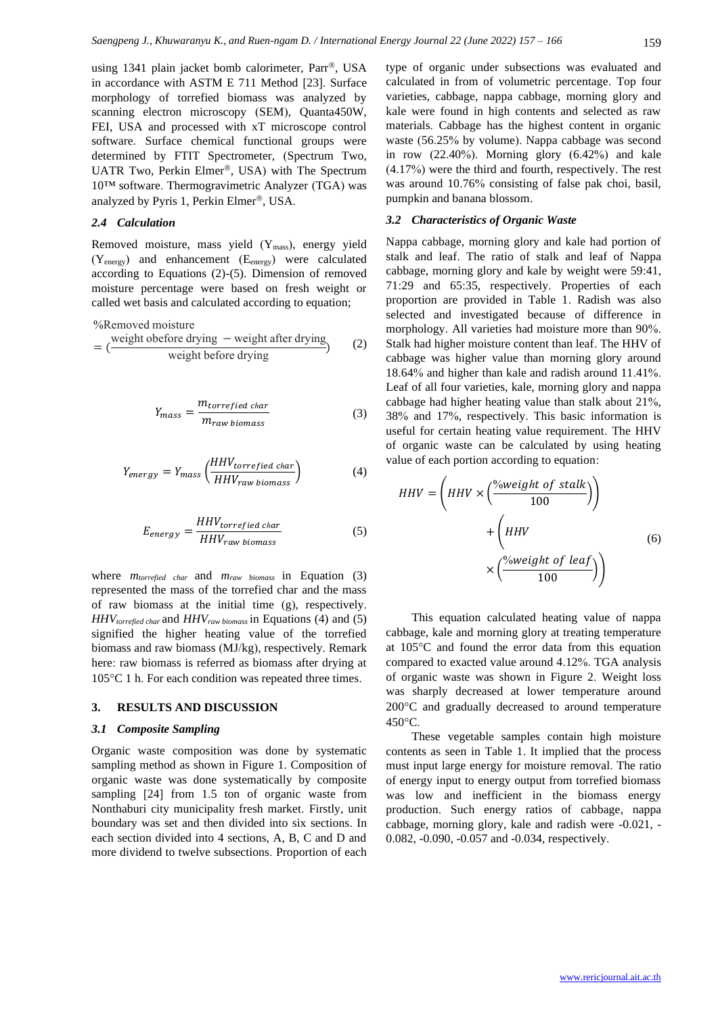using 1341 plain jacket bomb calorimeter, Parr®, USA in accordance with ASTM E 711 Method [23]. Surface morphology of torrefied biomass was analyzed by scanning electron microscopy (SEM), Quanta450W, FEI, USA and processed with xT microscope control software. Surface chemical functional groups were determined by FTIT Spectrometer, (Spectrum Two, UATR Two, Perkin Elmer®, USA) with The Spectrum 10™ software. Thermogravimetric Analyzer (TGA) was analyzed by Pyris 1, Perkin Elmer®, USA.

# *2.4 Calculation*

Removed moisture, mass yield (Ymass), energy yield (Yenergy) and enhancement (Eenergy) were calculated according to Equations (2)-(5). Dimension of removed moisture percentage were based on fresh weight or called wet basis and calculated according to equation;

%Removed moisture

$$
= \left(\frac{\text{weight before drying} - \text{weight after drying}}{\text{weight before drying}}\right) \tag{2}
$$

$$
Y_{mass} = \frac{m_{torrefied\ char}}{m_{raw\ biomass}}\tag{3}
$$

$$
Y_{energy} = Y_{mass} \left(\frac{HHV_{torrefield\ char}}{HHV_{raw\ biomass}}\right)
$$
 (4)

$$
E_{energy} = \frac{HHV_{torrefied\ char}}{HHV_{raw\ biomass}}\tag{5}
$$

where *mtorrefied char* and *mraw biomass* in Equation (3) represented the mass of the torrefied char and the mass of raw biomass at the initial time (g), respectively. *HHVtorrefied char* and *HHVraw biomass* in Equations (4) and (5) signified the higher heating value of the torrefied biomass and raw biomass (MJ/kg), respectively. Remark here: raw biomass is referred as biomass after drying at 105 °C 1 h. For each condition was repeated three times.

### **3. RESULTS AND DISCUSSION**

#### *3.1 Composite Sampling*

Organic waste composition was done by systematic sampling method as shown in Figure 1. Composition of organic waste was done systematically by composite sampling [24] from 1.5 ton of organic waste from Nonthaburi city municipality fresh market. Firstly, unit boundary was set and then divided into six sections. In each section divided into 4 sections, A, B, C and D and more dividend to twelve subsections. Proportion of each

type of organic under subsections was evaluated and calculated in from of volumetric percentage. Top four varieties, cabbage, nappa cabbage, morning glory and kale were found in high contents and selected as raw materials. Cabbage has the highest content in organic waste (56.25% by volume). Nappa cabbage was second in row (22.40%). Morning glory (6.42%) and kale (4.17%) were the third and fourth, respectively. The rest was around 10.76% consisting of false pak choi, basil, pumpkin and banana blossom.

### *3.2 Characteristics of Organic Waste*

Nappa cabbage, morning glory and kale had portion of stalk and leaf. The ratio of stalk and leaf of Nappa cabbage, morning glory and kale by weight were 59:41, 71:29 and 65:35, respectively. Properties of each proportion are provided in Table 1. Radish was also selected and investigated because of difference in morphology. All varieties had moisture more than 90%. Stalk had higher moisture content than leaf. The HHV of cabbage was higher value than morning glory around 18.64% and higher than kale and radish around 11.41%. Leaf of all four varieties, kale, morning glory and nappa cabbage had higher heating value than stalk about 21%, 38% and 17%, respectively. This basic information is useful for certain heating value requirement. The HHV of organic waste can be calculated by using heating value of each portion according to equation:

$$
HHV = \left(HHV \times \left(\frac{\%weight \ of \ stalk}{100}\right)\right) + \left(HHV \times \left(\frac{\%weight \ of \ leaf}{100}\right)\right)
$$
\n
$$
\times \left(\frac{\%weight \ of \ leaf}{100}\right)\right)
$$
\n(6)

This equation calculated heating value of nappa cabbage, kale and morning glory at treating temperature at 105C and found the error data from this equation compared to exacted value around 4.12%. TGA analysis of organic waste was shown in Figure 2. Weight loss was sharply decreased at lower temperature around 200°C and gradually decreased to around temperature  $450^{\circ}$ C.

These vegetable samples contain high moisture contents as seen in Table 1. It implied that the process must input large energy for moisture removal. The ratio of energy input to energy output from torrefied biomass was low and inefficient in the biomass energy production. Such energy ratios of cabbage, nappa cabbage, morning glory, kale and radish were -0.021, - 0.082, -0.090, -0.057 and -0.034, respectively.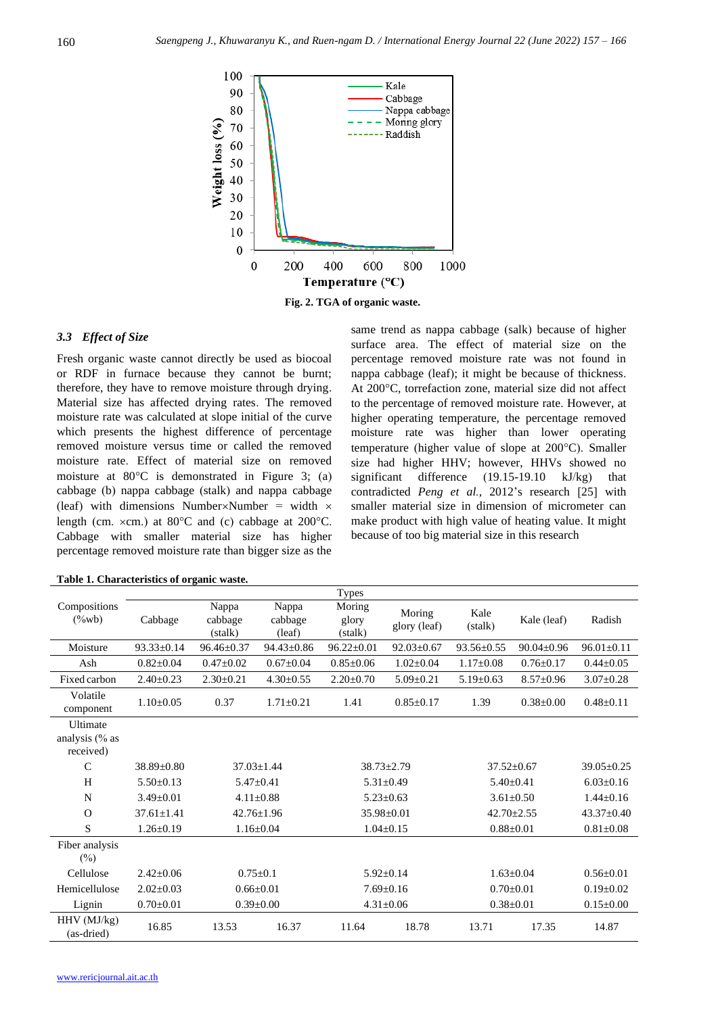

# *3.3 Effect of Size*

Fresh organic waste cannot directly be used as biocoal or RDF in furnace because they cannot be burnt; therefore, they have to remove moisture through drying. Material size has affected drying rates. The removed moisture rate was calculated at slope initial of the curve which presents the highest difference of percentage removed moisture versus time or called the removed moisture rate. Effect of material size on removed moisture at  $80^{\circ}$ C is demonstrated in Figure 3; (a) cabbage (b) nappa cabbage (stalk) and nappa cabbage (leaf) with dimensions Number $\times$ Number = width  $\times$ length (cm.  $\times$ cm.) at 80 $\degree$ C and (c) cabbage at 200 $\degree$ C. Cabbage with smaller material size has higher percentage removed moisture rate than bigger size as the

same trend as nappa cabbage (salk) because of higher surface area. The effect of material size on the percentage removed moisture rate was not found in nappa cabbage (leaf); it might be because of thickness. At 200°C, torrefaction zone, material size did not affect to the percentage of removed moisture rate. However, at higher operating temperature, the percentage removed moisture rate was higher than lower operating temperature (higher value of slope at  $200^{\circ}$ C). Smaller size had higher HHV; however, HHVs showed no significant difference (19.15-19.10 kJ/kg) that contradicted *Peng et al.,* 2012's research [25] with smaller material size in dimension of micrometer can make product with high value of heating value. It might because of too big material size in this research

|                                                |                  |                             |                            | <b>Types</b>               |                        |                  |                  |                  |
|------------------------------------------------|------------------|-----------------------------|----------------------------|----------------------------|------------------------|------------------|------------------|------------------|
| Compositions<br>$(\%wb)$                       | Cabbage          | Nappa<br>cabbage<br>(stalk) | Nappa<br>cabbage<br>(leaf) | Moring<br>glory<br>(stalk) | Moring<br>glory (leaf) | Kale<br>(stalk)  | Kale (leaf)      | Radish           |
| Moisture                                       | $93.33 \pm 0.14$ | $96.46 \pm 0.37$            | $94.43 \pm 0.86$           | $96.22 \pm 0.01$           | $92.03 \pm 0.67$       | $93.56 \pm 0.55$ | $90.04 \pm 0.96$ | $96.01 \pm 0.11$ |
| Ash                                            | $0.82 \pm 0.04$  | $0.47 \pm 0.02$             | $0.67 \pm 0.04$            | $0.85 \pm 0.06$            | $1.02 \pm 0.04$        | $1.17 \pm 0.08$  | $0.76 \pm 0.17$  | $0.44 \pm 0.05$  |
| Fixed carbon                                   | $2.40 \pm 0.23$  | $2.30 \pm 0.21$             | $4.30 \pm 0.55$            | $2.20 \pm 0.70$            | $5.09 \pm 0.21$        | $5.19 \pm 0.63$  | $8.57 \pm 0.96$  | $3.07 \pm 0.28$  |
| Volatile<br>component                          | $1.10 \pm 0.05$  | 0.37                        | $1.71 \pm 0.21$            | 1.41                       | $0.85 \pm 0.17$        | 1.39             | $0.38 \pm 0.00$  | $0.48 \pm 0.11$  |
| <b>Ultimate</b><br>analysis (% as<br>received) |                  |                             |                            |                            |                        |                  |                  |                  |
| $\mathcal{C}$                                  | $38.89 + 0.80$   |                             | $37.03 + 1.44$             |                            | $38.73 \pm 2.79$       | $37.52 + 0.67$   |                  | $39.05 \pm 0.25$ |
| H                                              | $5.50 \pm 0.13$  |                             | $5.47 \pm 0.41$            |                            | $5.31 \pm 0.49$        | $5.40 \pm 0.41$  |                  | $6.03 \pm 0.16$  |
| N                                              | $3.49 + 0.01$    |                             | $4.11 \pm 0.88$            |                            | $5.23 \pm 0.63$        |                  | $3.61 \pm 0.50$  | $1.44 \pm 0.16$  |
| $\Omega$                                       | $37.61 \pm 1.41$ |                             | $42.76 \pm 1.96$           |                            | $35.98 \pm 0.01$       |                  | $42.70 \pm 2.55$ | $43.37 \pm 0.40$ |
| S                                              | $1.26 \pm 0.19$  |                             | $1.16 \pm 0.04$            |                            | $1.04 \pm 0.15$        | $0.88 \pm 0.01$  |                  | $0.81 \pm 0.08$  |
| Fiber analysis<br>$(\%)$                       |                  |                             |                            |                            |                        |                  |                  |                  |
| Cellulose                                      | $2.42 \pm 0.06$  | $0.75 \pm 0.1$              |                            | $5.92 \pm 0.14$            |                        | $1.63 \pm 0.04$  |                  | $0.56 \pm 0.01$  |
| Hemicellulose                                  | $2.02 \pm 0.03$  | $0.66 \pm 0.01$             |                            | $7.69 \pm 0.16$            |                        | $0.70 \pm 0.01$  |                  | $0.19 \pm 0.02$  |
| Lignin                                         | $0.70 \pm 0.01$  |                             | $0.39 \pm 0.00$            |                            | $4.31 \pm 0.06$        | $0.38 \pm 0.01$  |                  | $0.15 \pm 0.00$  |
| $HHV$ (MJ/kg)<br>(as-dried)                    | 16.85            | 13.53                       | 16.37                      | 11.64                      | 18.78                  | 13.71            | 17.35            | 14.87            |

|  | Table 1. Characteristics of organic waste. |  |  |  |
|--|--------------------------------------------|--|--|--|
|--|--------------------------------------------|--|--|--|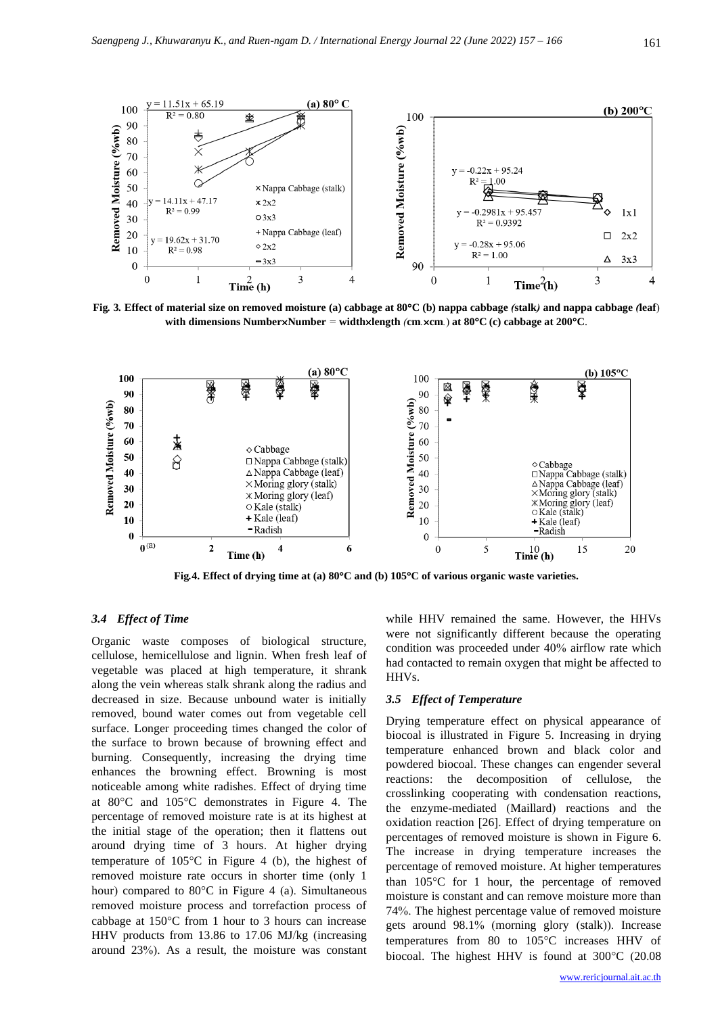

Fig. 3. Effect of material size on removed moisture (a) cabbage at 80°C (b) nappa cabbage (stalk) and nappa cabbage (leaf) **with dimensions NumberNumber** *=* **widthlength** *(***cm***.***cm***.*) **at 80C (c) cabbage at 200C**.



**Fig***.***4. Effect of drying time at (a) 80C and (b) 105C of various organic waste varieties.**

# *3.4 Effect of Time*

Organic waste composes of biological structure, cellulose, hemicellulose and lignin. When fresh leaf of vegetable was placed at high temperature, it shrank along the vein whereas stalk shrank along the radius and decreased in size. Because unbound water is initially removed, bound water comes out from vegetable cell surface. Longer proceeding times changed the color of the surface to brown because of browning effect and burning. Consequently, increasing the drying time enhances the browning effect. Browning is most noticeable among white radishes. Effect of drying time at 80C and 105C demonstrates in Figure 4. The percentage of removed moisture rate is at its highest at the initial stage of the operation; then it flattens out around drying time of 3 hours. At higher drying temperature of  $105^{\circ}$ C in Figure 4 (b), the highest of removed moisture rate occurs in shorter time (only 1 hour) compared to  $80^{\circ}$ C in Figure 4 (a). Simultaneous removed moisture process and torrefaction process of cabbage at  $150^{\circ}$ C from 1 hour to 3 hours can increase HHV products from 13.86 to 17.06 MJ/kg (increasing around 23%). As a result, the moisture was constant while HHV remained the same. However, the HHVs were not significantly different because the operating condition was proceeded under 40% airflow rate which had contacted to remain oxygen that might be affected to HHVs.

# *3.5 Effect of Temperature*

Drying temperature effect on physical appearance of biocoal is illustrated in Figure 5. Increasing in drying temperature enhanced brown and black color and powdered biocoal. These changes can engender several reactions: the decomposition of cellulose, the crosslinking cooperating with condensation reactions, the enzyme-mediated (Maillard) reactions and the oxidation reaction [26]. Effect of drying temperature on percentages of removed moisture is shown in Figure 6. The increase in drying temperature increases the percentage of removed moisture. At higher temperatures than  $105^{\circ}$ C for 1 hour, the percentage of removed moisture is constant and can remove moisture more than 74%. The highest percentage value of removed moisture gets around 98.1% (morning glory (stalk)). Increase temperatures from 80 to  $105^{\circ}$ C increases HHV of biocoal. The highest HHV is found at  $300^{\circ}$ C (20.08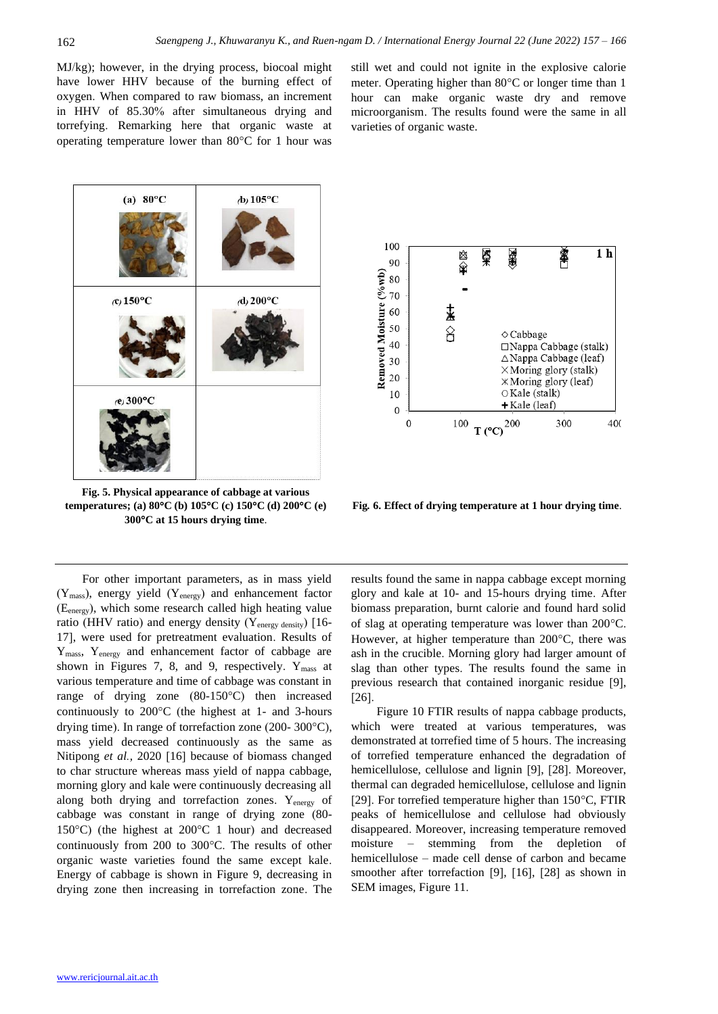MJ/kg); however, in the drying process, biocoal might have lower HHV because of the burning effect of oxygen. When compared to raw biomass, an increment in HHV of 85.30% after simultaneous drying and torrefying. Remarking here that organic waste at operating temperature lower than  $80^{\circ}$ C for 1 hour was

still wet and could not ignite in the explosive calorie meter. Operating higher than  $80^{\circ}$ C or longer time than 1 hour can make organic waste dry and remove microorganism. The results found were the same in all varieties of organic waste.



**Fig. 5. Physical appearance of cabbage at various temperatures; (a) 80C (b) 105C (c) 150C (d) 200C (e) 300C at 15 hours drying time**.



**Fig***.* **6. Effect of drying temperature at 1 hour drying time**.

For other important parameters, as in mass yield  $(Y_{\text{mass}})$ , energy yield  $(Y_{\text{energy}})$  and enhancement factor (Eenergy), which some research called high heating value ratio (HHV ratio) and energy density (Yenergy density) [16- 17], were used for pretreatment evaluation. Results of Ymass, Yenergy and enhancement factor of cabbage are shown in Figures 7, 8, and 9, respectively.  $Y_{\text{mass}}$  at various temperature and time of cabbage was constant in range of drying zone  $(80-150^{\circ}\text{C})$  then increased continuously to  $200^{\circ}$ C (the highest at 1- and 3-hours drying time). In range of torrefaction zone (200- 300 $^{\circ}$ C), mass yield decreased continuously as the same as Nitipong *et al.,* 2020 [16] because of biomass changed to char structure whereas mass yield of nappa cabbage, morning glory and kale were continuously decreasing all along both drying and torrefaction zones. Yenergy of cabbage was constant in range of drying zone (80- 150 $\degree$ C) (the highest at 200 $\degree$ C 1 hour) and decreased continuously from 200 to  $300^{\circ}$ C. The results of other organic waste varieties found the same except kale. Energy of cabbage is shown in Figure 9, decreasing in drying zone then increasing in torrefaction zone. The results found the same in nappa cabbage except morning glory and kale at 10- and 15-hours drying time. After biomass preparation, burnt calorie and found hard solid of slag at operating temperature was lower than  $200^{\circ}$ C. However, at higher temperature than  $200^{\circ}$ C, there was ash in the crucible. Morning glory had larger amount of slag than other types. The results found the same in previous research that contained inorganic residue [9], [26].

Figure 10 FTIR results of nappa cabbage products, which were treated at various temperatures, was demonstrated at torrefied time of 5 hours. The increasing of torrefied temperature enhanced the degradation of hemicellulose, cellulose and lignin [9], [28]. Moreover, thermal can degraded hemicellulose, cellulose and lignin [29]. For torrefied temperature higher than  $150^{\circ}$ C, FTIR peaks of hemicellulose and cellulose had obviously disappeared. Moreover, increasing temperature removed moisture – stemming from the depletion of hemicellulose – made cell dense of carbon and became smoother after torrefaction [9], [16], [28] as shown in SEM images, Figure 11.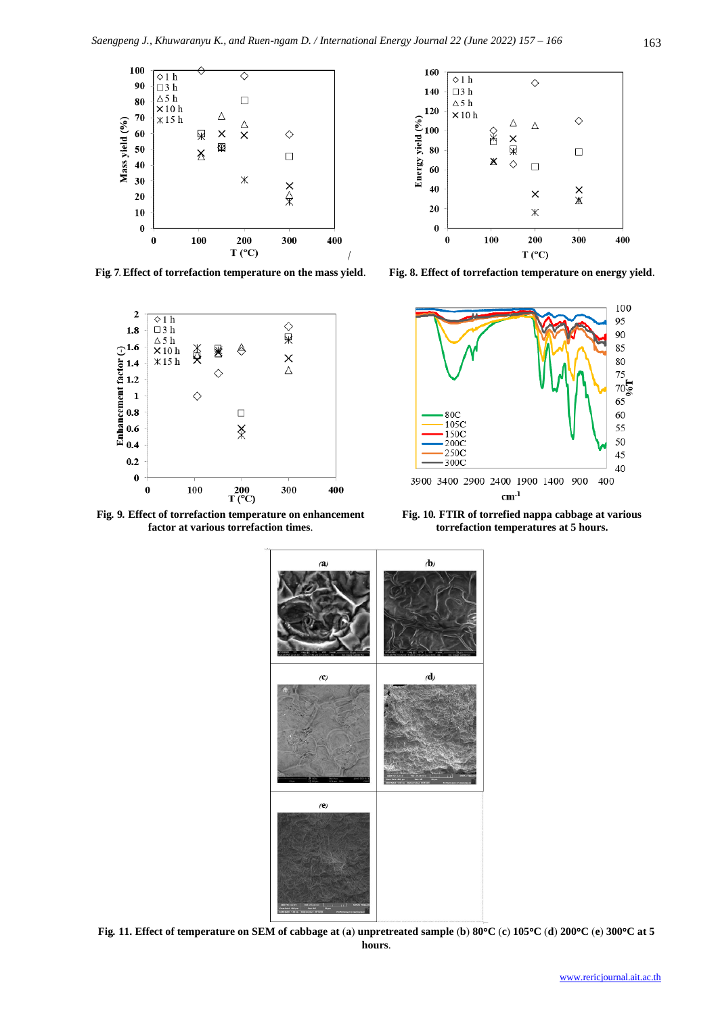



**Fig***.* **9***.* **Effect of torrefaction temperature on enhancement factor at various torrefaction times**.



**Fig***.* **7***.* **Effect of torrefaction temperature on the mass yield**. **Fig. 8. Effect of torrefaction temperature on energy yield**.



**Fig. 10***.* **FTIR of torrefied nappa cabbage at various torrefaction temperatures at 5 hours.**



Fig. 11. Effect of temperature on SEM of cabbage at (a) unpretreated sample (b) 80°C (c) 105°C (d) 200°C (e) 300°C at 5 **hours**.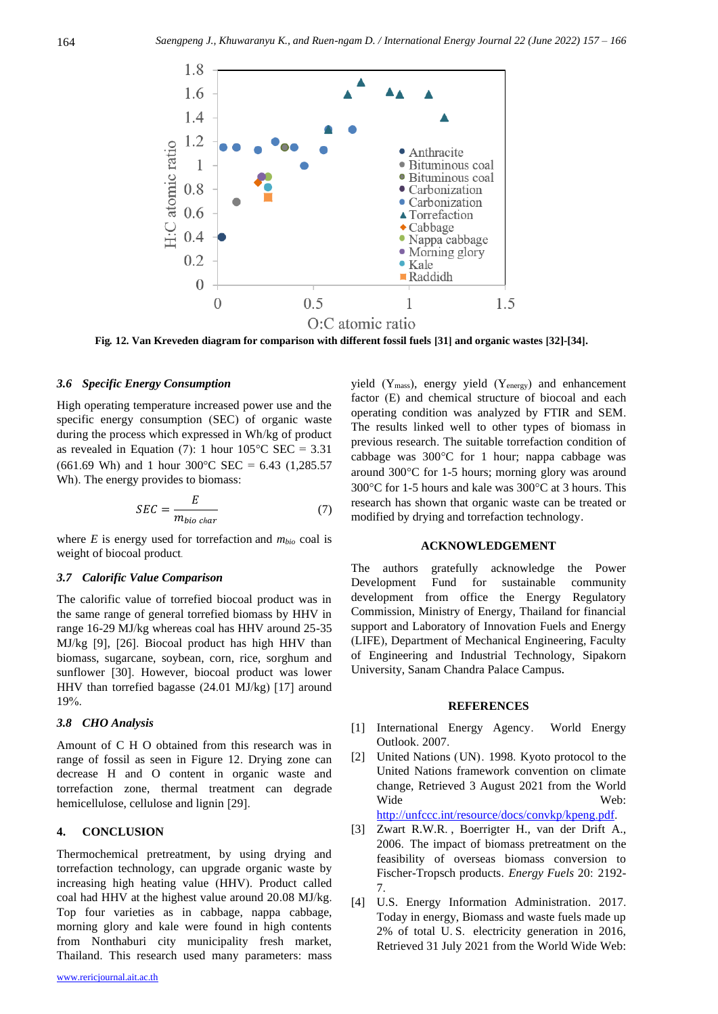

**Fig***.* **12. Van Kreveden diagram for comparison with different fossil fuels [31] and organic wastes [32]-[34].**

#### *3.6 Specific Energy Consumption*

High operating temperature increased power use and the specific energy consumption (SEC) of organic waste during the process which expressed in Wh/kg of product as revealed in Equation (7): 1 hour  $105^{\circ}$ C SEC = 3.31 (661.69 Wh) and 1 hour 300 °C SEC = 6.43 (1,285.57) Wh). The energy provides to biomass:

$$
SEC = \frac{E}{m_{bio\ char}}\tag{7}
$$

where *E* is energy used for torrefaction and *mbio* coal is weight of biocoal product.

#### *3.7 Calorific Value Comparison*

The calorific value of torrefied biocoal product was in the same range of general torrefied biomass by HHV in range 16-29 MJ/kg whereas coal has HHV around 25-35 MJ/kg [9], [26]. Biocoal product has high HHV than biomass, sugarcane, soybean, corn, rice, sorghum and sunflower [30]. However, biocoal product was lower HHV than torrefied bagasse (24.01 MJ/kg) [17] around 19%.

## *3.8 CHO Analysis*

Amount of C H O obtained from this research was in range of fossil as seen in Figure 12. Drying zone can decrease H and O content in organic waste and torrefaction zone, thermal treatment can degrade hemicellulose, cellulose and lignin [29].

# **4. CONCLUSION**

Thermochemical pretreatment, by using drying and torrefaction technology, can upgrade organic waste by increasing high heating value (HHV). Product called coal had HHV at the highest value around 20.08 MJ/kg. Top four varieties as in cabbage, nappa cabbage, morning glory and kale were found in high contents from Nonthaburi city municipality fresh market, Thailand. This research used many parameters: mass

yield  $(Y_{mass})$ , energy yield  $(Y_{energy})$  and enhancement factor (E) and chemical structure of biocoal and each operating condition was analyzed by FTIR and SEM. The results linked well to other types of biomass in previous research. The suitable torrefaction condition of cabbage was  $300^{\circ}$ C for 1 hour; nappa cabbage was around  $300^{\circ}$ C for 1-5 hours; morning glory was around  $300^{\circ}$ C for 1-5 hours and kale was  $300^{\circ}$ C at 3 hours. This research has shown that organic waste can be treated or modified by drying and torrefaction technology.

#### **ACKNOWLEDGEMENT**

The authors gratefully acknowledge the Power Development Fund for sustainable community development from office the Energy Regulatory Commission, Ministry of Energy, Thailand for financial support and Laboratory of Innovation Fuels and Energy (LIFE), Department of Mechanical Engineering, Faculty of Engineering and Industrial Technology, Sipakorn University, Sanam Chandra Palace Campus**.**

#### **REFERENCES**

- [1] International Energy Agency. World Energy Outlook. 2007.
- [2] United Nations (UN). 1998. Kyoto protocol to the United Nations framework convention on climate change, Retrieved 3 August 2021 from the World Wide Web:

[http://unfccc.int/resource/docs/convkp/kpeng.pdf.](http://unfccc.int/resource/docs/convkp/kpeng.pdf)

- [3] Zwart R.W.R. , Boerrigter H., van der Drift A., 2006. The impact of biomass pretreatment on the feasibility of overseas biomass conversion to Fischer-Tropsch products. *Energy Fuels* 20: 2192- 7.
- [4] U.S. Energy Information Administration. 2017. Today in energy, Biomass and waste fuels made up 2% of total U. S. electricity generation in 2016, Retrieved 31 July 2021 from the World Wide Web: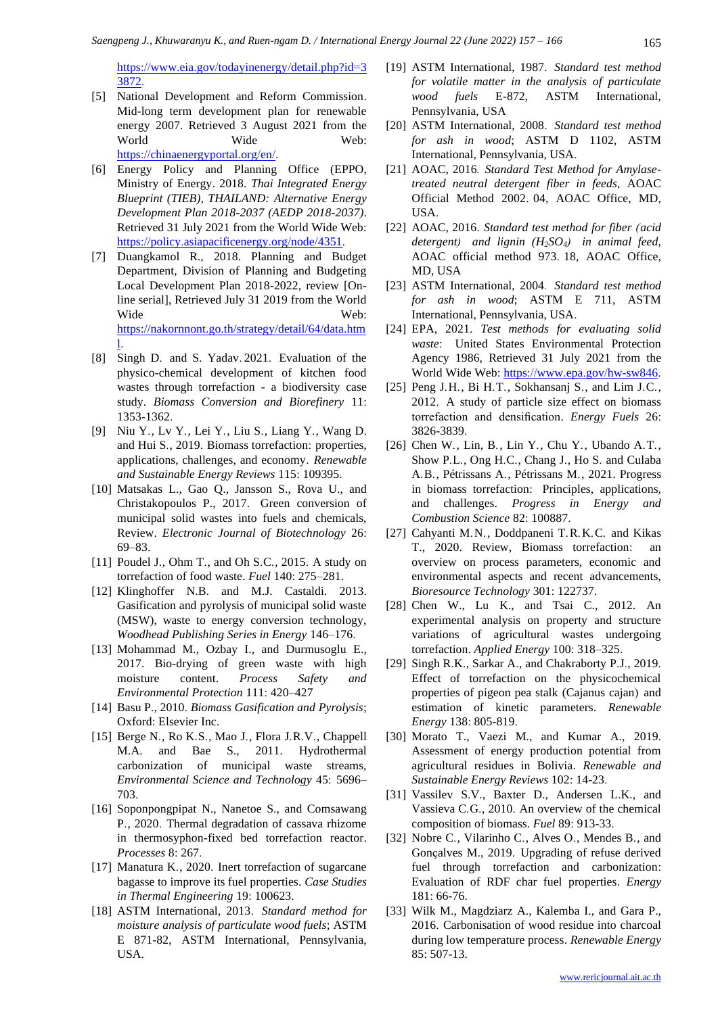[https://www.eia.gov/todayinenergy/detail.php?id=3](https://www.eia.gov/todayinenergy/detail.php?id=33872) [3872.](https://www.eia.gov/todayinenergy/detail.php?id=33872)

- [5] National Development and Reform Commission. Mid-long term development plan for renewable energy 2007. Retrieved 3 August 2021 from the World Wide Web: [https://chinaenergyportal.org/en/.](https://chinaenergyportal.org/en/)
- [6] Energy Policy and Planning Office (EPPO, Ministry of Energy. 2018. *Thai Integrated Energy Blueprint (TIEB), THAILAND: Alternative Energy Development Plan 2018-2037 (AEDP 2018-2037)*. Retrieved 31 July 2021 from the World Wide Web: [https://policy.asiapacificenergy.org/node/4351.](https://policy.asiapacificenergy.org/node/4351)
- [7] Duangkamol R., 2018. Planning and Budget Department, Division of Planning and Budgeting Local Development Plan 2018-2022, review [Online serial], Retrieved July 31 2019 from the World Wide Web: [https://nakornnont.go.th/strategy/detail/64/data.htm](https://nakornnont.go.th/strategy/detail/64/data.html) [l.](https://nakornnont.go.th/strategy/detail/64/data.html)
- [8] Singh D. and S. Yadav. 2021. Evaluation of the physico-chemical development of kitchen food wastes through torrefaction - a biodiversity case study. *Biomass Conversion and Biorefinery* 11: 1353-1362.
- [9] Niu Y., Lv Y., Lei Y., Liu S., Liang Y., Wang D. and Hui S., 2019. Biomass torrefaction: properties, applications, challenges, and economy. *Renewable and Sustainable Energy Reviews* 115: 109395.
- [10] Matsakas L., Gao Q., Jansson S., Rova U., and Christakopoulos P., 2017. Green conversion of municipal solid wastes into fuels and chemicals, Review. *Electronic Journal of Biotechnology* 26: 69–83.
- [11] Poudel J., Ohm T., and Oh S.C., 2015. A study on torrefaction of food waste. *Fuel* 140: 275–281.
- [12] Klinghoffer N.B. and M.J. Castaldi. 2013. Gasification and pyrolysis of municipal solid waste (MSW), waste to energy conversion technology, *Woodhead Publishing Series in Energy* 146–176.
- [13] Mohammad M., Ozbay I., and Durmusoglu E., 2017. Bio-drying of green waste with high moisture content. *Process Safety and Environmental Protection* 111: 420–427
- [14] Basu P., 2010. *Biomass Gasification and Pyrolysis*; Oxford: Elsevier Inc.
- [15] Berge N., Ro K.S., Mao J., Flora J.R.V., Chappell M.A. and Bae S., 2011. Hydrothermal carbonization of municipal waste streams, *Environmental Science and Technology* 45: 5696– 703.
- [16] Soponpongpipat N., Nanetoe S., and Comsawang P., 2020. Thermal degradation of cassava rhizome in thermosyphon-fixed bed torrefaction reactor. *Processes* 8: 267.
- [17] Manatura K., 2020. Inert torrefaction of sugarcane bagasse to improve its fuel properties. *Case Studies in Thermal Engineering* 19: 100623.
- [18] ASTM International, 2013. *Standard method for moisture analysis of particulate wood fuels*; ASTM E 871-82, ASTM International, Pennsylvania, USA.
- [19] ASTM International, 1987. *Standard test method for volatile matter in the analysis of particulate wood fuels* E-872, ASTM International, Pennsylvania, USA
- [20] ASTM International, 2008. *Standard test method for ash in wood*; ASTM D 1102, ASTM International, Pennsylvania, USA.
- [21] AOAC, 2016*. Standard Test Method for Amylasetreated neutral detergent fiber in feeds*, AOAC Official Method 2002. 04, AOAC Office, MD, USA.
- [22] AOAC, 2016. *Standard test method for fiber (acid detergent) and lignin (H2SO4) in animal feed*, AOAC official method 973. 18, AOAC Office, MD, USA
- [23] ASTM International, 2004*. Standard test method for ash in wood*; ASTM E 711, ASTM International, Pennsylvania, USA.
- [24] EPA, 2021. *Test methods for evaluating solid waste*: United States Environmental Protection Agency 1986, Retrieved 31 July 2021 from the World Wide Web[: https://www.epa.gov/hw](https://www.epa.gov/hw-sw846)-sw846.
- [25] Peng J.H., Bi H.T., Sokhansanj S., and Lim J.C., 2012. A study of particle size effect on biomass torrefaction and densification. *Energy Fuels* 26: 3826-3839.
- [26] Chen W., Lin, B., Lin Y., Chu Y., Ubando A.T., Show P.L., Ong H.C., Chang J., Ho S. and Culaba A.B., Pétrissans A., Pétrissans M., 2021. Progress in biomass torrefaction: Principles, applications, and challenges. *Progress in Energy and Combustion Science* 82: 100887.
- [27] Cahyanti M.N., Doddpaneni T.R.K.C. and Kikas T., 2020. Review, Biomass torrefaction: an overview on process parameters, economic and environmental aspects and recent advancements, *Bioresource Technology* 301: 122737.
- [28] Chen W., Lu K., and Tsai C., 2012. An experimental analysis on property and structure variations of agricultural wastes undergoing torrefaction. *Applied Energy* 100: 318–325.
- [29] Singh R.K., Sarkar A., and Chakraborty P.J., 2019. Effect of torrefaction on the physicochemical properties of pigeon pea stalk (Cajanus cajan) and estimation of kinetic parameters. *Renewable Energy* 138: 805-819.
- [30] Morato T., Vaezi M., and Kumar A., 2019. Assessment of energy production potential from agricultural residues in Bolivia. *Renewable and Sustainable Energy Reviews* 102: 14-23.
- [31] Vassilev S.V., Baxter D., Andersen L.K., and Vassieva C.G., 2010. An overview of the chemical composition of biomass. *Fuel* 89: 913-33.
- [32] Nobre C., Vilarinho C., Alves O., Mendes B., and Gonçalves M., 2019. Upgrading of refuse derived fuel through torrefaction and carbonization: Evaluation of RDF char fuel properties. *Energy* 181: 66-76.
- [33] Wilk M., Magdziarz A., Kalemba I., and Gara P., 2016. Carbonisation of wood residue into charcoal during low temperature process. *Renewable Energy* 85: 507-13.